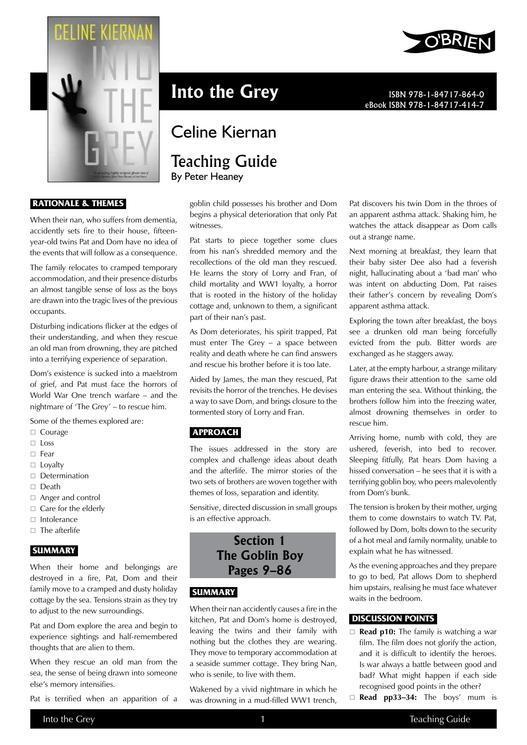

#### **Rationale & Themes**

When their nan, who suffers from dementia, accidently sets fire to their house, fifteenyear-old twins Pat and Dom have no idea of the events that will follow as a consequence.

The family relocates to cramped temporary accommodation, and their presence disturbs an almost tangible sense of loss as the boys are drawn into the tragic lives of the previous occupants.

Disturbing indications flicker at the edges of their understanding, and when they rescue an old man from drowning, they are pitched into a terrifying experience of separation.

Dom's existence is sucked into a maelstrom of grief, and Pat must face the horrors of World War One trench warfare – and the nightmare of 'The Grey' – to rescue him.

Some of the themes explored are:

- □ Courage
- $\Box$  Loss
- $\Box$  Fear
- $\Box$  Lovalty
- $\Box$  Determination
- $\Box$  Death
- Anger and control
- $\Box$  Care for the elderly
- $\Box$  Intolerance
- $\Box$  The afterlife

#### **Summary**

When their home and belongings are destroyed in a fire, Pat, Dom and their family move to a cramped and dusty holiday cottage by the sea. Tensions strain as they try to adjust to the new surroundings.

Pat and Dom explore the area and begin to experience sightings and half-remembered thoughts that are alien to them.

When they rescue an old man from the sea, the sense of being drawn into someone else's memory intensifies.

Pat is terrified when an apparition of a

**Into the Grey** ISBN 978-1-84717-864-0

## Celine Kiernan

# Teaching Guide

By Peter Heaney

goblin child possesses his brother and Dom begins a physical deterioration that only Pat witnesses.

Pat starts to piece together some clues from his nan's shredded memory and the recollections of the old man they rescued. He learns the story of Lorry and Fran, of child mortality and WW1 loyalty, a horror that is rooted in the history of the holiday cottage and, unknown to them, a significant part of their nan's past.

As Dom deteriorates, his spirit trapped, Pat must enter The Grey – a space between reality and death where he can find answers and rescue his brother before it is too late.

Aided by James, the man they rescued, Pat revisits the horror of the trenches. He devises a way to save Dom, and brings closure to the tormented story of Lorry and Fran.

#### **Approach**

The issues addressed in the story are complex and challenge ideas about death and the afterlife. The mirror stories of the two sets of brothers are woven together with themes of loss, separation and identity.

Sensitive, directed discussion in small groups is an effective approach.

## **Section 1 The Goblin Boy Pages 9–86**

## **Summary**

When their nan accidently causes a fire in the kitchen, Pat and Dom's home is destroyed, leaving the twins and their family with nothing but the clothes they are wearing. They move to temporary accommodation at a seaside summer cottage. They bring Nan, who is senile, to live with them.

Wakened by a vivid nightmare in which he was drowning in a mud-filled WW1 trench,



eBook ISBN 978-1-84717-414-7

Pat discovers his twin Dom in the throes of an apparent asthma attack. Shaking him, he watches the attack disappear as Dom calls out a strange name.

Next morning at breakfast, they learn that their baby sister Dee also had a feverish night, hallucinating about a 'bad man' who was intent on abducting Dom. Pat raises their father's concern by revealing Dom's apparent asthma attack.

Exploring the town after breakfast, the boys see a drunken old man being forcefully evicted from the pub. Bitter words are exchanged as he staggers away.

Later, at the empty harbour, a strange military figure draws their attention to the same old man entering the sea. Without thinking, the brothers follow him into the freezing water, almost drowning themselves in order to rescue him.

Arriving home, numb with cold, they are ushered, feverish, into bed to recover. Sleeping fitfully, Pat hears Dom having a hissed conversation – he sees that it is with a terrifying goblin boy, who peers malevolently from Dom's bunk.

The tension is broken by their mother, urging them to come downstairs to watch TV. Pat, followed by Dom, bolts down to the security of a hot meal and family normality, unable to explain what he has witnessed.

As the evening approaches and they prepare to go to bed, Pat allows Dom to shepherd him upstairs, realising he must face whatever waits in the bedroom.

#### **Discussion points**

- **Read p10:** The family is watching a war film. The film does not glorify the action, and it is difficult to identify the heroes. Is war always a battle between good and bad? What might happen if each side recognised good points in the other?
- □ **Read pp33-34:** The boys' mum is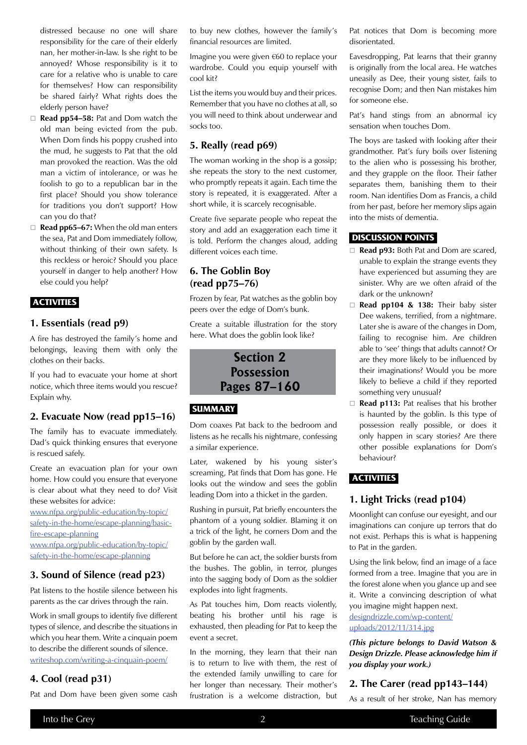distressed because no one will share responsibility for the care of their elderly nan, her mother-in-law. Is she right to be annoyed? Whose responsibility is it to care for a relative who is unable to care for themselves? How can responsibility be shared fairly? What rights does the elderly person have?

- **Read pp54–58:** Pat and Dom watch the old man being evicted from the pub. When Dom finds his poppy crushed into the mud, he suggests to Pat that the old man provoked the reaction. Was the old man a victim of intolerance, or was he foolish to go to a republican bar in the first place? Should you show tolerance for traditions you don't support? How can you do that?
- **Read pp65–67:** When the old man enters the sea, Pat and Dom immediately follow, without thinking of their own safety. Is this reckless or heroic? Should you place yourself in danger to help another? How else could you help?

#### **Activities**

#### **1. Essentials (read p9)**

A fire has destroyed the family's home and belongings, leaving them with only the clothes on their backs.

If you had to evacuate your home at short notice, which three items would you rescue? Explain why.

#### **2. Evacuate Now (read pp15–16)**

The family has to evacuate immediately. Dad's quick thinking ensures that everyone is rescued safely.

Create an evacuation plan for your own home. How could you ensure that everyone is clear about what they need to do? Visit these websites for advice:

www.nfpa.org/public-education/by-topic/ safety-in-the-home/escape-planning/basicfire-escape-planning

www.nfpa.org/public-education/by-topic/ safety-in-the-home/escape-planning

#### **3. Sound of Silence (read p23)**

Pat listens to the hostile silence between his parents as the car drives through the rain.

Work in small groups to identify five different types of silence, and describe the situations in which you hear them. Write a cinquain poem to describe the different sounds of silence. writeshop.com/writing-a-cinquain-poem/

#### **4. Cool (read p31)**

Pat and Dom have been given some cash

to buy new clothes, however the family's financial resources are limited.

Imagine you were given €60 to replace your wardrobe. Could you equip yourself with cool kit?

List the items you would buy and their prices. Remember that you have no clothes at all, so you will need to think about underwear and socks too.

#### **5. Really (read p69)**

The woman working in the shop is a gossip; she repeats the story to the next customer, who promptly repeats it again. Each time the story is repeated, it is exaggerated. After a short while, it is scarcely recognisable.

Create five separate people who repeat the story and add an exaggeration each time it is told. Perform the changes aloud, adding different voices each time.

#### **6. The Goblin Boy (read pp75–76)**

Frozen by fear, Pat watches as the goblin boy peers over the edge of Dom's bunk.

Create a suitable illustration for the story here. What does the goblin look like?

> **Section 2 Possession Pages 87–160**

#### **Summary**

Dom coaxes Pat back to the bedroom and listens as he recalls his nightmare, confessing a similar experience.

Later, wakened by his young sister's screaming, Pat finds that Dom has gone. He looks out the window and sees the goblin leading Dom into a thicket in the garden.

Rushing in pursuit, Pat briefly encounters the phantom of a young soldier. Blaming it on a trick of the light, he corners Dom and the goblin by the garden wall.

But before he can act, the soldier bursts from the bushes. The goblin, in terror, plunges into the sagging body of Dom as the soldier explodes into light fragments.

As Pat touches him, Dom reacts violently, beating his brother until his rage is exhausted, then pleading for Pat to keep the event a secret.

In the morning, they learn that their nan is to return to live with them, the rest of the extended family unwilling to care for her longer than necessary. Their mother's frustration is a welcome distraction, but Pat notices that Dom is becoming more disorientated.

Eavesdropping, Pat learns that their granny is originally from the local area. He watches uneasily as Dee, their young sister, fails to recognise Dom; and then Nan mistakes him for someone else.

Pat's hand stings from an abnormal icy sensation when touches Dom.

The boys are tasked with looking after their grandmother. Pat's fury boils over listening to the alien who is possessing his brother, and they grapple on the floor. Their father separates them, banishing them to their room. Nan identifies Dom as Francis, a child from her past, before her memory slips again into the mists of dementia.

#### **Discussion Points**

- **Read p93:** Both Pat and Dom are scared, unable to explain the strange events they have experienced but assuming they are sinister. Why are we often afraid of the dark or the unknown?
- **Read pp104 & 138:** Their baby sister Dee wakens, terrified, from a nightmare. Later she is aware of the changes in Dom, failing to recognise him. Are children able to 'see' things that adults cannot? Or are they more likely to be influenced by their imaginations? Would you be more likely to believe a child if they reported something very unusual?
- □ **Read p113:** Pat realises that his brother is haunted by the goblin. Is this type of possession really possible, or does it only happen in scary stories? Are there other possible explanations for Dom's behaviour?

#### **Activities**

#### **1. Light Tricks (read p104)**

Moonlight can confuse our eyesight, and our imaginations can conjure up terrors that do not exist. Perhaps this is what is happening to Pat in the garden.

Using the link below, find an image of a face formed from a tree. Imagine that you are in the forest alone when you glance up and see it. Write a convincing description of what you imagine might happen next. designdrizzle.com/wp-content/ uploads/2012/11/314.jpg

*(This picture belongs to David Watson & Design Drizzle. Please acknowledge him if you display your work.)*

#### **2. The Carer (read pp143–144)**

As a result of her stroke, Nan has memory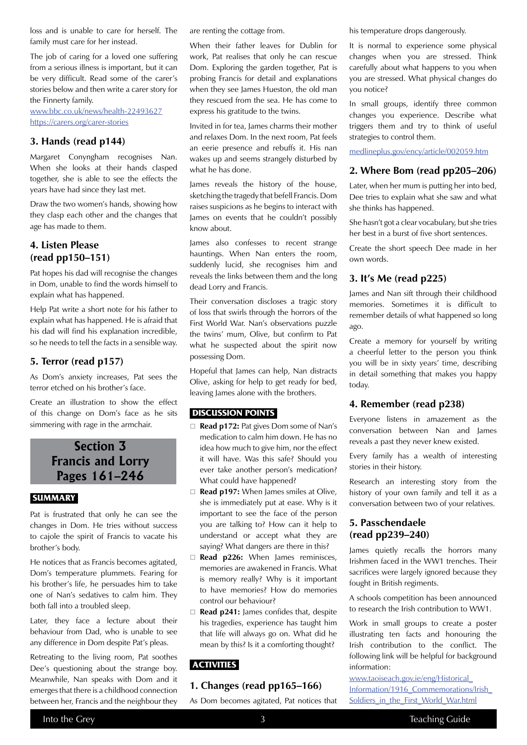loss and is unable to care for herself. The family must care for her instead.

The job of caring for a loved one suffering from a serious illness is important, but it can be very difficult. Read some of the carer's stories below and then write a carer story for the Finnerty family.

www.bbc.co.uk/news/health-22493627 https://carers.org/carer-stories

#### **3. Hands (read p144)**

Margaret Conyngham recognises Nan. When she looks at their hands clasped together, she is able to see the effects the years have had since they last met.

Draw the two women's hands, showing how they clasp each other and the changes that age has made to them.

### **4. Listen Please (read pp150–151)**

Pat hopes his dad will recognise the changes in Dom, unable to find the words himself to explain what has happened.

Help Pat write a short note for his father to explain what has happened. He is afraid that his dad will find his explanation incredible, so he needs to tell the facts in a sensible way.

#### **5. Terror (read p157)**

As Dom's anxiety increases, Pat sees the terror etched on his brother's face.

Create an illustration to show the effect of this change on Dom's face as he sits simmering with rage in the armchair.

## **Section 3 Francis and Lorry Pages 161–246**

#### **Summary**

Pat is frustrated that only he can see the changes in Dom. He tries without success to cajole the spirit of Francis to vacate his brother's body.

He notices that as Francis becomes agitated, Dom's temperature plummets. Fearing for his brother's life, he persuades him to take one of Nan's sedatives to calm him. They both fall into a troubled sleep.

Later, they face a lecture about their behaviour from Dad, who is unable to see any difference in Dom despite Pat's pleas.

Retreating to the living room, Pat soothes Dee's questioning about the strange boy. Meanwhile, Nan speaks with Dom and it emerges that there is a childhood connection between her, Francis and the neighbour they are renting the cottage from.

When their father leaves for Dublin for work, Pat realises that only he can rescue Dom. Exploring the garden together, Pat is probing Francis for detail and explanations when they see James Hueston, the old man they rescued from the sea. He has come to express his gratitude to the twins.

Invited in for tea, James charms their mother and relaxes Dom. In the next room, Pat feels an eerie presence and rebuffs it. His nan wakes up and seems strangely disturbed by what he has done.

James reveals the history of the house, sketching the tragedy that befell Francis. Dom raises suspicions as he begins to interact with James on events that he couldn't possibly know about.

James also confesses to recent strange hauntings. When Nan enters the room, suddenly lucid, she recognises him and reveals the links between them and the long dead Lorry and Francis.

Their conversation discloses a tragic story of loss that swirls through the horrors of the First World War. Nan's observations puzzle the twins' mum, Olive, but confirm to Pat what he suspected about the spirit now possessing Dom.

Hopeful that James can help, Nan distracts Olive, asking for help to get ready for bed, leaving James alone with the brothers.

#### **Discussion Points**

- **Read p172:** Pat gives Dom some of Nan's medication to calm him down. He has no idea how much to give him, nor the effect it will have. Was this safe? Should you ever take another person's medication? What could have happened?
- □ **Read p197:** When James smiles at Olive, she is immediately put at ease. Why is it important to see the face of the person you are talking to? How can it help to understand or accept what they are saying? What dangers are there in this?
- □ Read p226: When James reminisces, memories are awakened in Francis. What is memory really? Why is it important to have memories? How do memories control our behaviour?
- □ Read p241: James confides that, despite his tragedies, experience has taught him that life will always go on. What did he mean by this? Is it a comforting thought?

#### **Activities**

#### **1. Changes (read pp165–166)**

As Dom becomes agitated, Pat notices that

his temperature drops dangerously.

It is normal to experience some physical changes when you are stressed. Think carefully about what happens to you when you are stressed. What physical changes do you notice?

In small groups, identify three common changes you experience. Describe what triggers them and try to think of useful strategies to control them.

medlineplus.gov/ency/article/002059.htm

## **2. Where Bom (read pp205–206)**

Later, when her mum is putting her into bed, Dee tries to explain what she saw and what she thinks has happened.

She hasn't got a clear vocabulary, but she tries her best in a burst of five short sentences.

Create the short speech Dee made in her own words.

#### **3. It's Me (read p225)**

James and Nan sift through their childhood memories. Sometimes it is difficult to remember details of what happened so long ago.

Create a memory for yourself by writing a cheerful letter to the person you think you will be in sixty years' time, describing in detail something that makes you happy today.

#### **4. Remember (read p238)**

Everyone listens in amazement as the conversation between Nan and James reveals a past they never knew existed.

Every family has a wealth of interesting stories in their history.

Research an interesting story from the history of your own family and tell it as a conversation between two of your relatives.

#### **5. Passchendaele (read pp239–240)**

James quietly recalls the horrors many Irishmen faced in the WW1 trenches. Their sacrifices were largely ignored because they fought in British regiments.

A schools competition has been announced to research the Irish contribution to WW1.

Work in small groups to create a poster illustrating ten facts and honouring the Irish contribution to the conflict. The following link will be helpful for background information:

www.taoiseach.gov.ie/eng/Historical\_ Information/1916\_Commemorations/Irish\_ Soldiers\_in\_the\_First\_World\_War.html